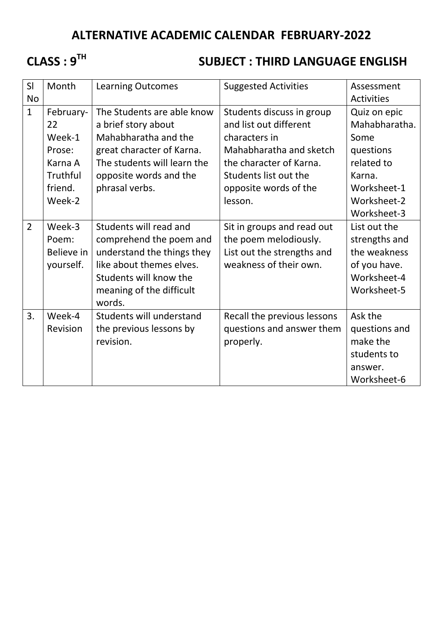## **ALTERNATIVE ACADEMIC CALENDAR FEBRUARY-2022**

# **CLASS : 9TH**

### **SUBJECT : THIRD LANGUAGE ENGLISH**

| SI             | Month      | <b>Learning Outcomes</b>    | <b>Suggested Activities</b> | Assessment        |
|----------------|------------|-----------------------------|-----------------------------|-------------------|
| <b>No</b>      |            |                             |                             | <b>Activities</b> |
| $\mathbf{1}$   | February-  | The Students are able know  | Students discuss in group   | Quiz on epic      |
|                | 22         | a brief story about         | and list out different      | Mahabharatha.     |
|                | Week-1     | Mahabharatha and the        | characters in               | Some              |
|                | Prose:     | great character of Karna.   | Mahabharatha and sketch     | questions         |
|                | Karna A    | The students will learn the | the character of Karna.     | related to        |
|                | Truthful   | opposite words and the      | Students list out the       | Karna.            |
|                | friend.    | phrasal verbs.              | opposite words of the       | Worksheet-1       |
|                | Week-2     |                             | lesson.                     | Worksheet-2       |
|                |            |                             |                             | Worksheet-3       |
| $\overline{2}$ | Week-3     | Students will read and      | Sit in groups and read out  | List out the      |
|                | Poem:      | comprehend the poem and     | the poem melodiously.       | strengths and     |
|                | Believe in | understand the things they  | List out the strengths and  | the weakness      |
|                | yourself.  | like about themes elves.    | weakness of their own.      | of you have.      |
|                |            | Students will know the      |                             | Worksheet-4       |
|                |            | meaning of the difficult    |                             | Worksheet-5       |
|                |            | words.                      |                             |                   |
| 3.             | Week-4     | Students will understand    | Recall the previous lessons | Ask the           |
|                | Revision   | the previous lessons by     | questions and answer them   | questions and     |
|                |            | revision.                   | properly.                   | make the          |
|                |            |                             |                             | students to       |
|                |            |                             |                             | answer.           |
|                |            |                             |                             | Worksheet-6       |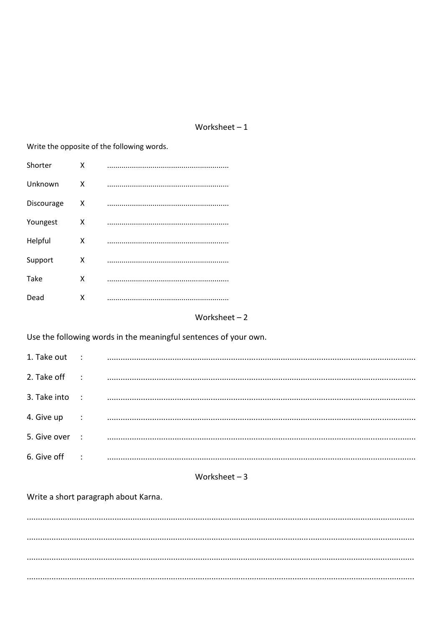#### Worksheet $-1$

Write the opposite of the following words. Shorter  $\mathsf{x}$ Unknown  $\mathsf{x}$ Discourage  $\mathsf{x}$ Youngest  $\mathsf{X}$ Helpful  $\mathsf{x}$ Support  $\mathsf{X}$ Take X Dead  $\mathsf{X}$ 

#### Worksheet  $-2$

Use the following words in the meaningful sentences of your own.

| 1. Take out :  |                        |  |
|----------------|------------------------|--|
| 2. Take off    | $\sim$ :               |  |
| 3. Take into : |                        |  |
| 4. Give up     | $\dddot{\phantom{1}}$  |  |
| 5. Give over : |                        |  |
| 6. Give off    | $\ddot{\phantom{1}}$ : |  |

### Worksheet  $-3$

Write a short paragraph about Karna.